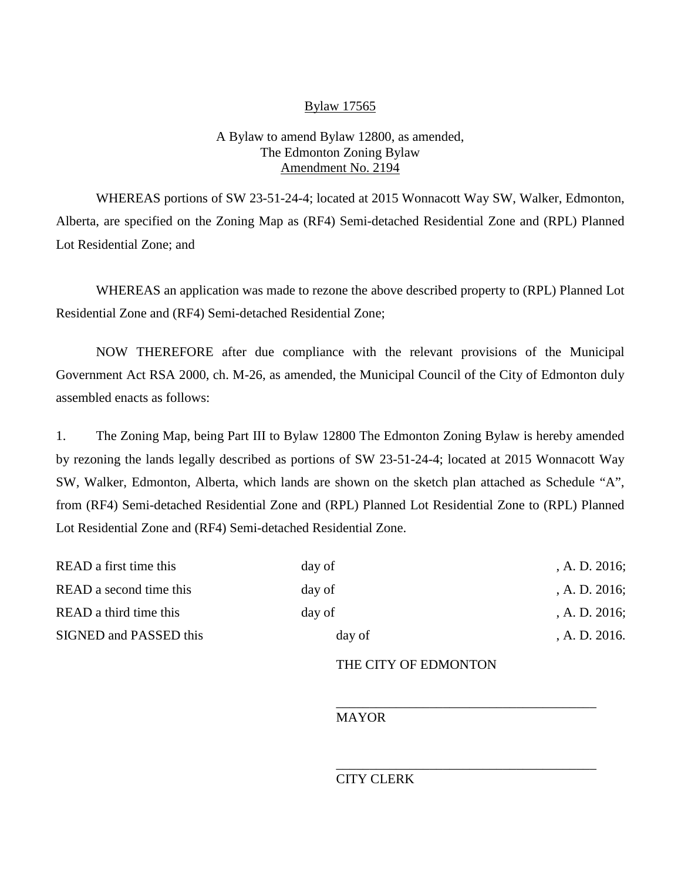## Bylaw 17565

## A Bylaw to amend Bylaw 12800, as amended, The Edmonton Zoning Bylaw Amendment No. 2194

WHEREAS portions of SW 23-51-24-4; located at 2015 Wonnacott Way SW, Walker, Edmonton, Alberta, are specified on the Zoning Map as (RF4) Semi-detached Residential Zone and (RPL) Planned Lot Residential Zone; and

WHEREAS an application was made to rezone the above described property to (RPL) Planned Lot Residential Zone and (RF4) Semi-detached Residential Zone;

NOW THEREFORE after due compliance with the relevant provisions of the Municipal Government Act RSA 2000, ch. M-26, as amended, the Municipal Council of the City of Edmonton duly assembled enacts as follows:

1. The Zoning Map, being Part III to Bylaw 12800 The Edmonton Zoning Bylaw is hereby amended by rezoning the lands legally described as portions of SW 23-51-24-4; located at 2015 Wonnacott Way SW, Walker, Edmonton, Alberta, which lands are shown on the sketch plan attached as Schedule "A", from (RF4) Semi-detached Residential Zone and (RPL) Planned Lot Residential Zone to (RPL) Planned Lot Residential Zone and (RF4) Semi-detached Residential Zone.

| READ a first time this  | day of | A. D. 2016;      |
|-------------------------|--------|------------------|
| READ a second time this | day of | , A. D. $2016$ ; |
| READ a third time this  | day of | , A. D. $2016$ ; |
| SIGNED and PASSED this  | day of | A. D. 2016.      |
|                         |        |                  |

## THE CITY OF EDMONTON

\_\_\_\_\_\_\_\_\_\_\_\_\_\_\_\_\_\_\_\_\_\_\_\_\_\_\_\_\_\_\_\_\_\_\_\_\_\_\_

\_\_\_\_\_\_\_\_\_\_\_\_\_\_\_\_\_\_\_\_\_\_\_\_\_\_\_\_\_\_\_\_\_\_\_\_\_\_\_

MAYOR

## CITY CLERK